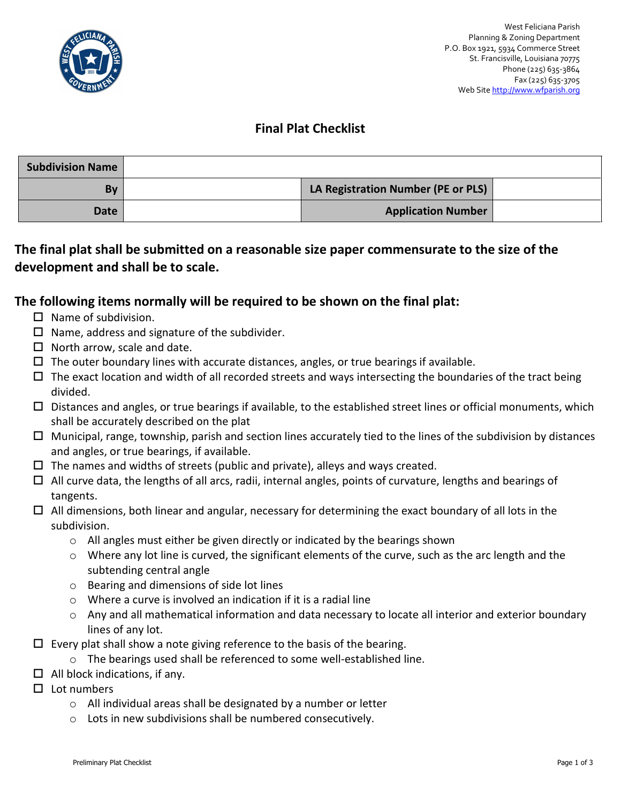

## **Final Plat Checklist**

| <b>Subdivision Name</b> |                                    |  |
|-------------------------|------------------------------------|--|
| By                      | LA Registration Number (PE or PLS) |  |
| Date                    | <b>Application Number</b>          |  |

## **The final plat shall be submitted on a reasonable size paper commensurate to the size of the development and shall be to scale.**

## **The following items normally will be required to be shown on the final plat:**

- $\Box$  Name of subdivision.
- $\Box$  Name, address and signature of the subdivider.
- $\Box$  North arrow, scale and date.
- $\Box$  The outer boundary lines with accurate distances, angles, or true bearings if available.
- $\Box$  The exact location and width of all recorded streets and ways intersecting the boundaries of the tract being divided.
- $\square$  Distances and angles, or true bearings if available, to the established street lines or official monuments, which shall be accurately described on the plat
- $\Box$  Municipal, range, township, parish and section lines accurately tied to the lines of the subdivision by distances and angles, or true bearings, if available.
- $\Box$  The names and widths of streets (public and private), alleys and ways created.
- $\Box$  All curve data, the lengths of all arcs, radii, internal angles, points of curvature, lengths and bearings of tangents.
- $\Box$  All dimensions, both linear and angular, necessary for determining the exact boundary of all lots in the subdivision.
	- o All angles must either be given directly or indicated by the bearings shown
	- o Where any lot line is curved, the significant elements of the curve, such as the arc length and the subtending central angle
	- o Bearing and dimensions of side lot lines
	- $\circ$  Where a curve is involved an indication if it is a radial line
	- $\circ$  Any and all mathematical information and data necessary to locate all interior and exterior boundary lines of any lot.
- $\Box$  Every plat shall show a note giving reference to the basis of the bearing.
	- o The bearings used shall be referenced to some well-established line.
- $\Box$  All block indications, if any.
- $\Box$  Lot numbers
	- o All individual areas shall be designated by a number or letter
	- o Lots in new subdivisions shall be numbered consecutively.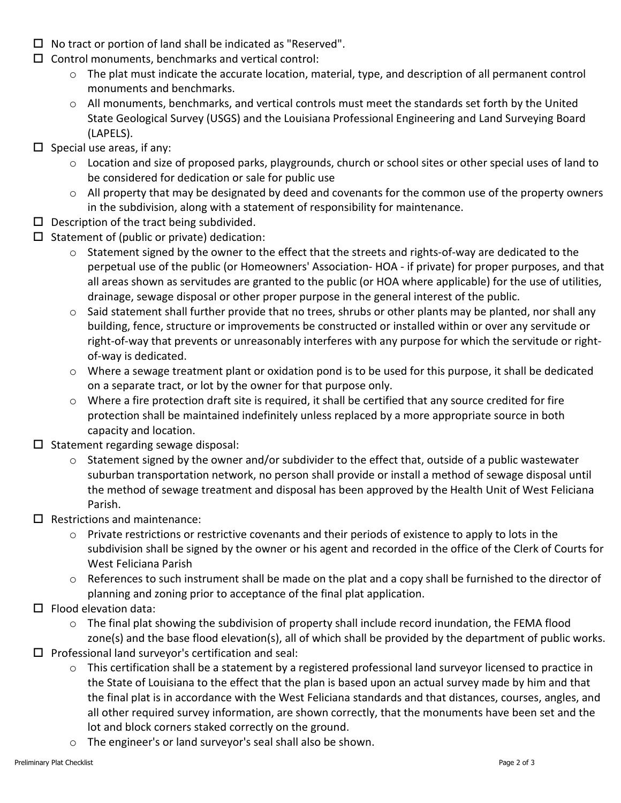- $\Box$  No tract or portion of land shall be indicated as "Reserved".
- $\square$  Control monuments, benchmarks and vertical control:
	- $\circ$  The plat must indicate the accurate location, material, type, and description of all permanent control monuments and benchmarks.
	- o All monuments, benchmarks, and vertical controls must meet the standards set forth by the United State Geological Survey (USGS) and the Louisiana Professional Engineering and Land Surveying Board (LAPELS).
- $\square$  Special use areas, if any:
	- o Location and size of proposed parks, playgrounds, church or school sites or other special uses of land to be considered for dedication or sale for public use
	- $\circ$  All property that may be designated by deed and covenants for the common use of the property owners in the subdivision, along with a statement of responsibility for maintenance.
- $\square$  Description of the tract being subdivided.
- $\square$  Statement of (public or private) dedication:
	- $\circ$  Statement signed by the owner to the effect that the streets and rights-of-way are dedicated to the perpetual use of the public (or Homeowners' Association- HOA - if private) for proper purposes, and that all areas shown as servitudes are granted to the public (or HOA where applicable) for the use of utilities, drainage, sewage disposal or other proper purpose in the general interest of the public.
	- o Said statement shall further provide that no trees, shrubs or other plants may be planted, nor shall any building, fence, structure or improvements be constructed or installed within or over any servitude or right-of-way that prevents or unreasonably interferes with any purpose for which the servitude or rightof-way is dedicated.
	- o Where a sewage treatment plant or oxidation pond is to be used for this purpose, it shall be dedicated on a separate tract, or lot by the owner for that purpose only.
	- o Where a fire protection draft site is required, it shall be certified that any source credited for fire protection shall be maintained indefinitely unless replaced by a more appropriate source in both capacity and location.
- $\square$  Statement regarding sewage disposal:
	- o Statement signed by the owner and/or subdivider to the effect that, outside of a public wastewater suburban transportation network, no person shall provide or install a method of sewage disposal until the method of sewage treatment and disposal has been approved by the Health Unit of West Feliciana Parish.
- $\square$  Restrictions and maintenance:
	- o Private restrictions or restrictive covenants and their periods of existence to apply to lots in the subdivision shall be signed by the owner or his agent and recorded in the office of the Clerk of Courts for West Feliciana Parish
	- $\circ$  References to such instrument shall be made on the plat and a copy shall be furnished to the director of planning and zoning prior to acceptance of the final plat application.
- $\square$  Flood elevation data:
	- $\circ$  The final plat showing the subdivision of property shall include record inundation, the FEMA flood zone(s) and the base flood elevation(s), all of which shall be provided by the department of public works.
- $\square$  Professional land surveyor's certification and seal:
	- o This certification shall be a statement by a registered professional land surveyor licensed to practice in the State of Louisiana to the effect that the plan is based upon an actual survey made by him and that the final plat is in accordance with the West Feliciana standards and that distances, courses, angles, and all other required survey information, are shown correctly, that the monuments have been set and the lot and block corners staked correctly on the ground.
	- o The engineer's or land surveyor's seal shall also be shown.